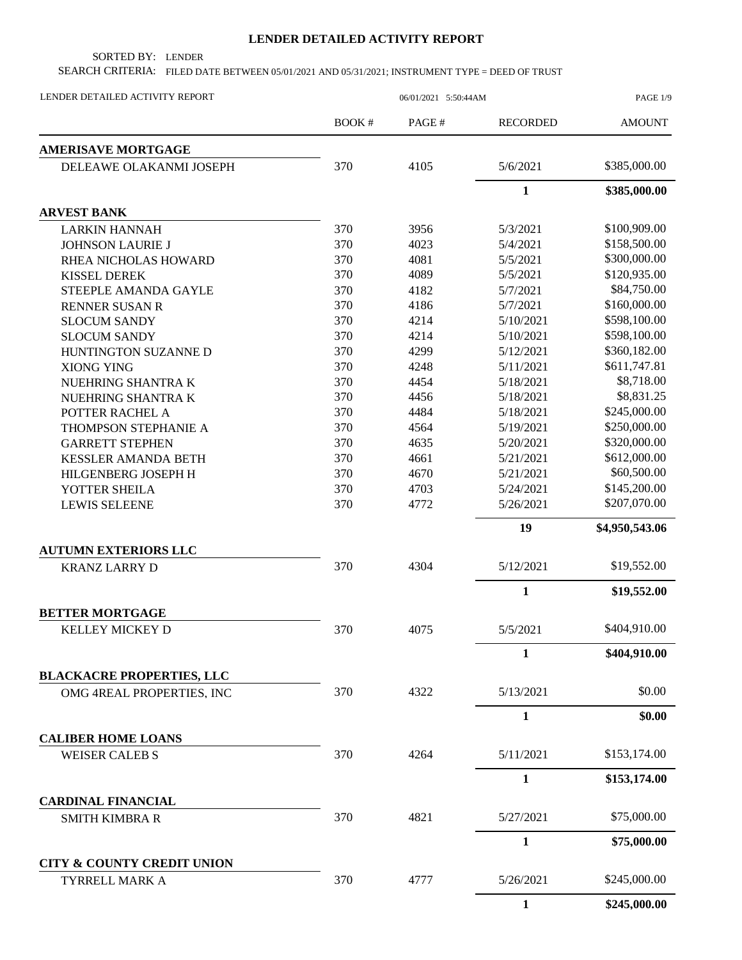## **LENDER DETAILED ACTIVITY REPORT**

SORTED BY: LENDER

SEARCH CRITERIA: FILED DATE BETWEEN 05/01/2021 AND 05/31/2021; INSTRUMENT TYPE = DEED OF TRUST

| LENDER DETAILED ACTIVITY REPORT                         | 06/01/2021 5:50:44AM |       |                 | <b>PAGE 1/9</b> |  |
|---------------------------------------------------------|----------------------|-------|-----------------|-----------------|--|
|                                                         | <b>BOOK#</b>         | PAGE# | <b>RECORDED</b> | <b>AMOUNT</b>   |  |
| <b>AMERISAVE MORTGAGE</b>                               |                      |       |                 |                 |  |
| DELEAWE OLAKANMI JOSEPH                                 | 370                  | 4105  | 5/6/2021        | \$385,000.00    |  |
|                                                         |                      |       | $\mathbf{1}$    | \$385,000.00    |  |
| <b>ARVEST BANK</b>                                      |                      |       |                 |                 |  |
| <b>LARKIN HANNAH</b>                                    | 370                  | 3956  | 5/3/2021        | \$100,909.00    |  |
| <b>JOHNSON LAURIE J</b>                                 | 370                  | 4023  | 5/4/2021        | \$158,500.00    |  |
| RHEA NICHOLAS HOWARD                                    | 370                  | 4081  | 5/5/2021        | \$300,000.00    |  |
| <b>KISSEL DEREK</b>                                     | 370                  | 4089  | 5/5/2021        | \$120,935.00    |  |
| STEEPLE AMANDA GAYLE                                    | 370                  | 4182  | 5/7/2021        | \$84,750.00     |  |
| <b>RENNER SUSAN R</b>                                   | 370                  | 4186  | 5/7/2021        | \$160,000.00    |  |
| <b>SLOCUM SANDY</b>                                     | 370                  | 4214  | 5/10/2021       | \$598,100.00    |  |
| <b>SLOCUM SANDY</b>                                     | 370                  | 4214  | 5/10/2021       | \$598,100.00    |  |
| HUNTINGTON SUZANNE D                                    | 370                  | 4299  | 5/12/2021       | \$360,182.00    |  |
| XIONG YING                                              | 370                  | 4248  | 5/11/2021       | \$611,747.81    |  |
| NUEHRING SHANTRA K                                      | 370                  | 4454  | 5/18/2021       | \$8,718.00      |  |
| NUEHRING SHANTRA K                                      | 370                  | 4456  | 5/18/2021       | \$8,831.25      |  |
| POTTER RACHEL A                                         | 370                  | 4484  | 5/18/2021       | \$245,000.00    |  |
| THOMPSON STEPHANIE A                                    | 370                  | 4564  | 5/19/2021       | \$250,000.00    |  |
| <b>GARRETT STEPHEN</b>                                  | 370                  | 4635  | 5/20/2021       | \$320,000.00    |  |
| <b>KESSLER AMANDA BETH</b>                              | 370                  | 4661  | 5/21/2021       | \$612,000.00    |  |
| HILGENBERG JOSEPH H                                     | 370                  | 4670  | 5/21/2021       | \$60,500.00     |  |
| YOTTER SHEILA                                           | 370                  | 4703  | 5/24/2021       | \$145,200.00    |  |
| <b>LEWIS SELEENE</b>                                    | 370                  | 4772  | 5/26/2021       | \$207,070.00    |  |
|                                                         |                      |       | 19              | \$4,950,543.06  |  |
| <b>AUTUMN EXTERIORS LLC</b>                             |                      |       |                 |                 |  |
| <b>KRANZ LARRY D</b>                                    | 370                  | 4304  | 5/12/2021       | \$19,552.00     |  |
|                                                         |                      |       | $\mathbf{1}$    | \$19,552.00     |  |
| <b>BETTER MORTGAGE</b>                                  |                      |       |                 |                 |  |
| KELLEY MICKEY D                                         | 370                  | 4075  | 5/5/2021        | \$404,910.00    |  |
|                                                         |                      |       | 1               | \$404,910.00    |  |
| <b>BLACKACRE PROPERTIES, LLC</b>                        |                      |       |                 |                 |  |
| OMG 4REAL PROPERTIES, INC                               | 370                  | 4322  | 5/13/2021       | \$0.00          |  |
|                                                         |                      |       | $\mathbf{1}$    | \$0.00          |  |
| <b>CALIBER HOME LOANS</b>                               |                      |       |                 |                 |  |
| <b>WEISER CALEB S</b>                                   | 370                  | 4264  | 5/11/2021       | \$153,174.00    |  |
|                                                         |                      |       | $\mathbf{1}$    | \$153,174.00    |  |
| <b>CARDINAL FINANCIAL</b>                               |                      |       |                 |                 |  |
| <b>SMITH KIMBRA R</b>                                   | 370                  | 4821  | 5/27/2021       | \$75,000.00     |  |
|                                                         |                      |       | 1               | \$75,000.00     |  |
| <b>CITY &amp; COUNTY CREDIT UNION</b><br>TYRRELL MARK A | 370                  | 4777  | 5/26/2021       | \$245,000.00    |  |
|                                                         |                      |       | 1               | \$245,000.00    |  |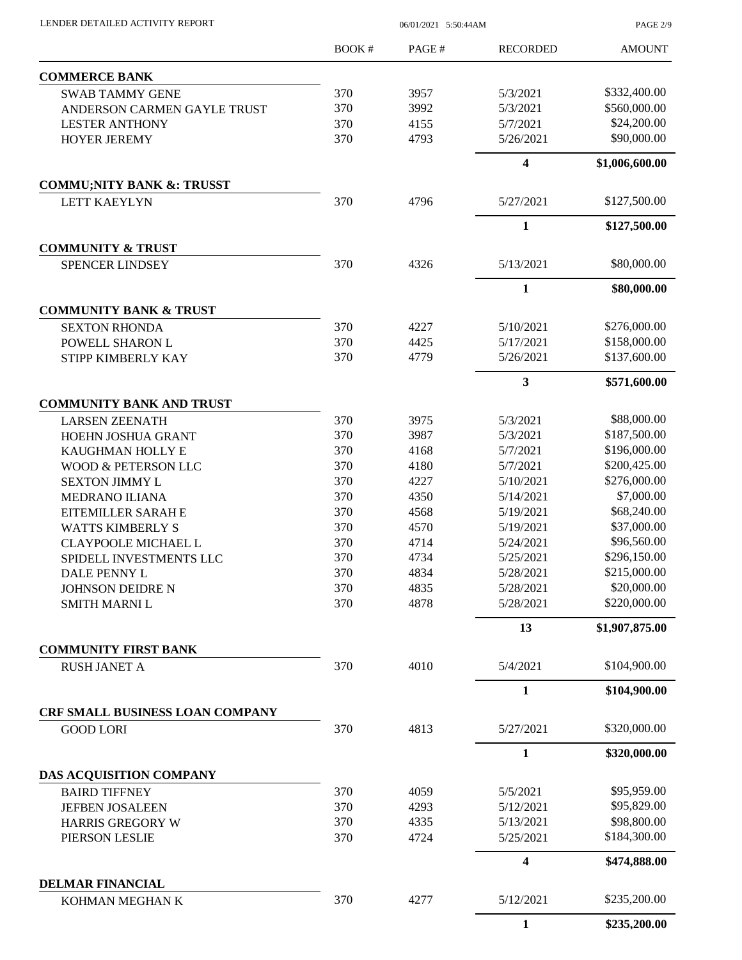| LENDER DETAILED ACTIVITY REPORT |  |
|---------------------------------|--|
|                                 |  |

06/01/2021 5:50:44AM

PAGE 2/9

|                                                 | <b>BOOK#</b> | PAGE# | <b>RECORDED</b>         | <b>AMOUNT</b>  |
|-------------------------------------------------|--------------|-------|-------------------------|----------------|
| <b>COMMERCE BANK</b>                            |              |       |                         |                |
| <b>SWAB TAMMY GENE</b>                          | 370          | 3957  | 5/3/2021                | \$332,400.00   |
| ANDERSON CARMEN GAYLE TRUST                     | 370          | 3992  | 5/3/2021                | \$560,000.00   |
| <b>LESTER ANTHONY</b>                           | 370          | 4155  | 5/7/2021                | \$24,200.00    |
| <b>HOYER JEREMY</b>                             | 370          | 4793  | 5/26/2021               | \$90,000.00    |
|                                                 |              |       | 4                       | \$1,006,600.00 |
| <b>COMMU;NITY BANK &amp;: TRUSST</b>            |              |       |                         |                |
| <b>LETT KAEYLYN</b>                             | 370          | 4796  | 5/27/2021               | \$127,500.00   |
|                                                 |              |       | $\mathbf{1}$            | \$127,500.00   |
| <b>COMMUNITY &amp; TRUST</b>                    |              |       |                         |                |
| <b>SPENCER LINDSEY</b>                          | 370          | 4326  | 5/13/2021               | \$80,000.00    |
| <b>COMMUNITY BANK &amp; TRUST</b>               |              |       | $\mathbf{1}$            | \$80,000.00    |
| <b>SEXTON RHONDA</b>                            | 370          | 4227  | 5/10/2021               | \$276,000.00   |
| POWELL SHARON L                                 | 370          | 4425  | 5/17/2021               | \$158,000.00   |
| STIPP KIMBERLY KAY                              | 370          | 4779  | 5/26/2021               | \$137,600.00   |
|                                                 |              |       | 3                       | \$571,600.00   |
| <b>COMMUNITY BANK AND TRUST</b>                 |              |       |                         |                |
| <b>LARSEN ZEENATH</b>                           | 370          | 3975  | 5/3/2021                | \$88,000.00    |
| HOEHN JOSHUA GRANT                              | 370          | 3987  | 5/3/2021                | \$187,500.00   |
| KAUGHMAN HOLLY E                                | 370          | 4168  | 5/7/2021                | \$196,000.00   |
| WOOD & PETERSON LLC                             | 370          | 4180  | 5/7/2021                | \$200,425.00   |
| <b>SEXTON JIMMY L</b>                           | 370          | 4227  | 5/10/2021               | \$276,000.00   |
| <b>MEDRANO ILIANA</b>                           | 370          | 4350  | 5/14/2021               | \$7,000.00     |
| EITEMILLER SARAH E                              | 370          | 4568  | 5/19/2021               | \$68,240.00    |
| <b>WATTS KIMBERLY S</b>                         | 370          | 4570  | 5/19/2021               | \$37,000.00    |
| <b>CLAYPOOLE MICHAEL L</b>                      | 370          | 4714  | 5/24/2021               | \$96,560.00    |
| SPIDELL INVESTMENTS LLC                         | 370          | 4734  | 5/25/2021               | \$296,150.00   |
| DALE PENNY L                                    | 370          | 4834  | 5/28/2021               | \$215,000.00   |
| <b>JOHNSON DEIDRE N</b>                         | 370          | 4835  | 5/28/2021               | \$20,000.00    |
| <b>SMITH MARNI L</b>                            | 370          | 4878  | 5/28/2021               | \$220,000.00   |
|                                                 |              |       | 13                      | \$1,907,875.00 |
| <b>COMMUNITY FIRST BANK</b>                     |              |       |                         |                |
| <b>RUSH JANET A</b>                             | 370          | 4010  | 5/4/2021                | \$104,900.00   |
|                                                 |              |       | $\mathbf{1}$            | \$104,900.00   |
| <b>CRF SMALL BUSINESS LOAN COMPANY</b>          |              |       |                         |                |
| <b>GOOD LORI</b>                                | 370          | 4813  | 5/27/2021               | \$320,000.00   |
|                                                 |              |       | $\mathbf{1}$            | \$320,000.00   |
| DAS ACQUISITION COMPANY<br><b>BAIRD TIFFNEY</b> | 370          | 4059  | 5/5/2021                | \$95,959.00    |
| <b>JEFBEN JOSALEEN</b>                          | 370          | 4293  | 5/12/2021               | \$95,829.00    |
|                                                 | 370          | 4335  | 5/13/2021               | \$98,800.00    |
| <b>HARRIS GREGORY W</b><br>PIERSON LESLIE       | 370          | 4724  | 5/25/2021               | \$184,300.00   |
|                                                 |              |       | $\overline{\mathbf{4}}$ | \$474,888.00   |
| <b>DELMAR FINANCIAL</b>                         |              |       |                         |                |
| KOHMAN MEGHAN K                                 | 370          | 4277  | 5/12/2021               | \$235,200.00   |
|                                                 |              |       | $\mathbf{1}$            | \$235,200.00   |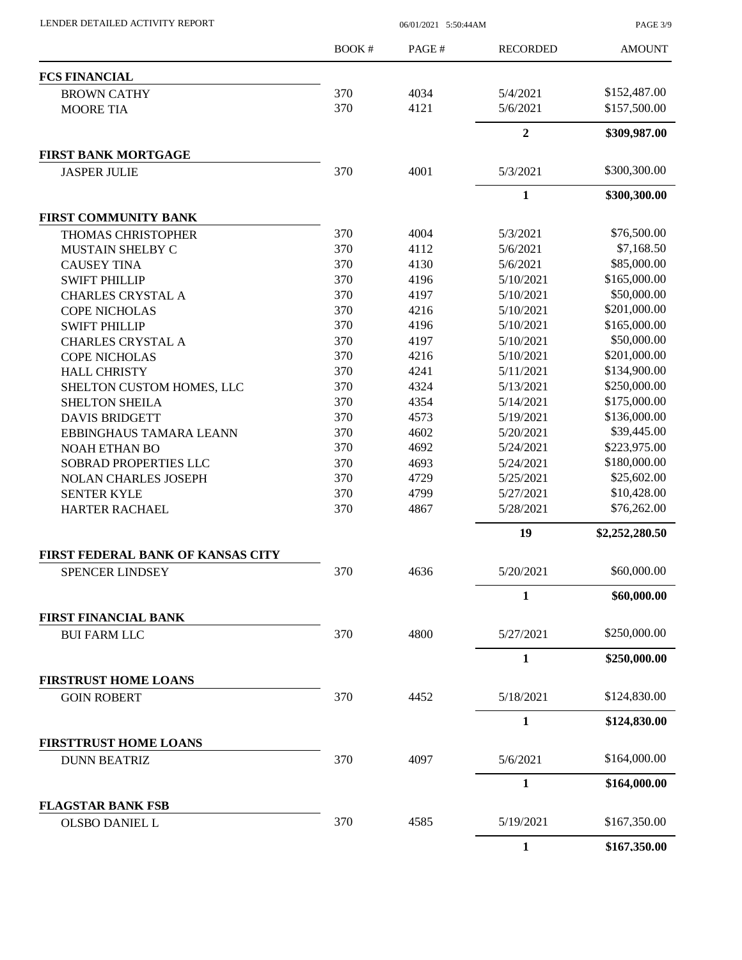| LENDER DETAILED ACTIVITY REPORT |  |
|---------------------------------|--|
|                                 |  |

06/01/2021 5:50:44AM

PAGE 3/9

|                                                    | <b>BOOK#</b> | PAGE# | <b>RECORDED</b> | <b>AMOUNT</b>  |
|----------------------------------------------------|--------------|-------|-----------------|----------------|
| <b>FCS FINANCIAL</b>                               |              |       |                 |                |
| <b>BROWN CATHY</b>                                 | 370          | 4034  | 5/4/2021        | \$152,487.00   |
| <b>MOORE TIA</b>                                   | 370          | 4121  | 5/6/2021        | \$157,500.00   |
|                                                    |              |       | $\overline{2}$  | \$309,987.00   |
| <b>FIRST BANK MORTGAGE</b>                         |              |       |                 |                |
| <b>JASPER JULIE</b>                                | 370          | 4001  | 5/3/2021        | \$300,300.00   |
|                                                    |              |       | 1               | \$300,300.00   |
| <b>FIRST COMMUNITY BANK</b>                        |              |       |                 |                |
| THOMAS CHRISTOPHER                                 | 370          | 4004  | 5/3/2021        | \$76,500.00    |
| MUSTAIN SHELBY C                                   | 370          | 4112  | 5/6/2021        | \$7,168.50     |
| <b>CAUSEY TINA</b>                                 | 370          | 4130  | 5/6/2021        | \$85,000.00    |
| <b>SWIFT PHILLIP</b>                               | 370          | 4196  | 5/10/2021       | \$165,000.00   |
| <b>CHARLES CRYSTAL A</b>                           | 370          | 4197  | 5/10/2021       | \$50,000.00    |
| <b>COPE NICHOLAS</b>                               | 370          | 4216  | 5/10/2021       | \$201,000.00   |
| <b>SWIFT PHILLIP</b>                               | 370          | 4196  | 5/10/2021       | \$165,000.00   |
| <b>CHARLES CRYSTAL A</b>                           | 370          | 4197  | 5/10/2021       | \$50,000.00    |
| <b>COPE NICHOLAS</b>                               | 370          | 4216  | 5/10/2021       | \$201,000.00   |
| <b>HALL CHRISTY</b>                                | 370          | 4241  | 5/11/2021       | \$134,900.00   |
| SHELTON CUSTOM HOMES, LLC                          | 370          | 4324  | 5/13/2021       | \$250,000.00   |
| <b>SHELTON SHEILA</b>                              | 370          | 4354  | 5/14/2021       | \$175,000.00   |
| <b>DAVIS BRIDGETT</b>                              | 370          | 4573  | 5/19/2021       | \$136,000.00   |
| EBBINGHAUS TAMARA LEANN                            | 370          | 4602  | 5/20/2021       | \$39,445.00    |
|                                                    | 370          | 4692  | 5/24/2021       | \$223,975.00   |
| <b>NOAH ETHAN BO</b>                               | 370          |       |                 | \$180,000.00   |
| SOBRAD PROPERTIES LLC                              | 370          | 4693  | 5/24/2021       | \$25,602.00    |
| <b>NOLAN CHARLES JOSEPH</b>                        |              | 4729  | 5/25/2021       |                |
| <b>SENTER KYLE</b>                                 | 370          | 4799  | 5/27/2021       | \$10,428.00    |
| <b>HARTER RACHAEL</b>                              | 370          | 4867  | 5/28/2021       | \$76,262.00    |
|                                                    |              |       | 19              | \$2,252,280.50 |
| FIRST FEDERAL BANK OF KANSAS CITY                  |              |       |                 |                |
| <b>SPENCER LINDSEY</b>                             | 370          | 4636  | 5/20/2021       | \$60,000.00    |
|                                                    |              |       | 1               | \$60,000.00    |
| <b>FIRST FINANCIAL BANK</b><br><b>BUI FARM LLC</b> | 370          | 4800  | 5/27/2021       | \$250,000.00   |
|                                                    |              |       | $\mathbf{1}$    | \$250,000.00   |
| <b>FIRSTRUST HOME LOANS</b>                        |              |       |                 |                |
| <b>GOIN ROBERT</b>                                 | 370          | 4452  | 5/18/2021       | \$124,830.00   |
|                                                    |              |       | $\mathbf{1}$    | \$124,830.00   |
| <b>FIRSTTRUST HOME LOANS</b>                       |              |       |                 |                |
| <b>DUNN BEATRIZ</b>                                | 370          | 4097  | 5/6/2021        | \$164,000.00   |
|                                                    |              |       | 1               | \$164,000.00   |
| <b>FLAGSTAR BANK FSB</b>                           |              |       |                 |                |
| OLSBO DANIEL L                                     | 370          | 4585  | 5/19/2021       | \$167,350.00   |
|                                                    |              |       | $\mathbf{1}$    | \$167,350.00   |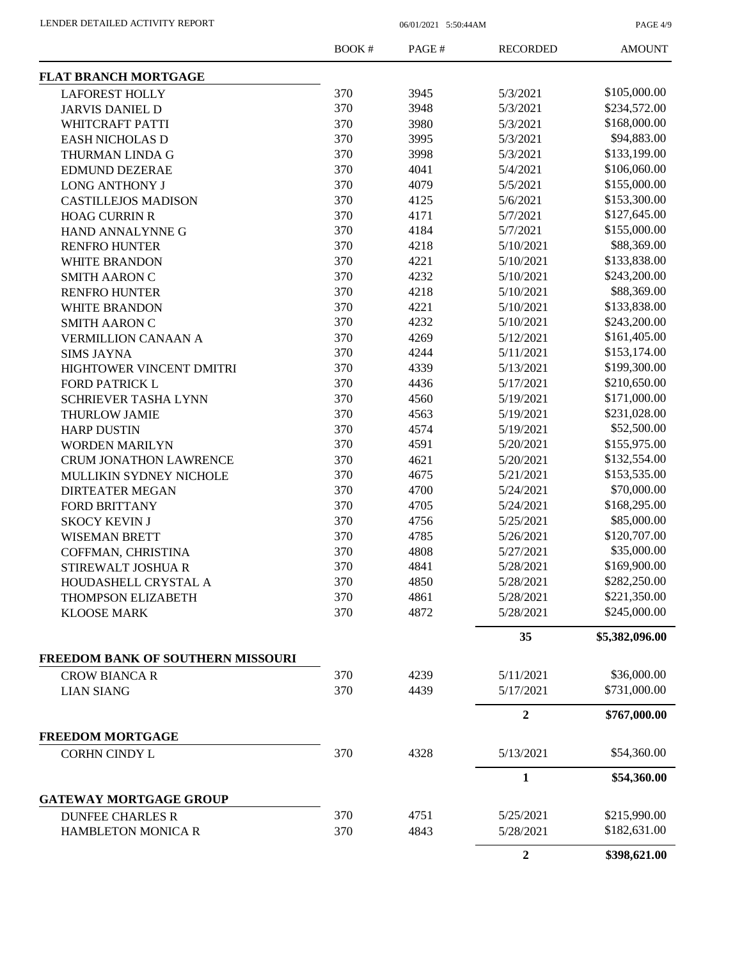PAGE 4/9

|                                   | <b>BOOK#</b> | PAGE# | <b>RECORDED</b>  | <b>AMOUNT</b>  |
|-----------------------------------|--------------|-------|------------------|----------------|
| <b>FLAT BRANCH MORTGAGE</b>       |              |       |                  |                |
| <b>LAFOREST HOLLY</b>             | 370          | 3945  | 5/3/2021         | \$105,000.00   |
| <b>JARVIS DANIEL D</b>            | 370          | 3948  | 5/3/2021         | \$234,572.00   |
| WHITCRAFT PATTI                   | 370          | 3980  | 5/3/2021         | \$168,000.00   |
| <b>EASH NICHOLAS D</b>            | 370          | 3995  | 5/3/2021         | \$94,883.00    |
| THURMAN LINDA G                   | 370          | 3998  | 5/3/2021         | \$133,199.00   |
| <b>EDMUND DEZERAE</b>             | 370          | 4041  | 5/4/2021         | \$106,060.00   |
| <b>LONG ANTHONY J</b>             | 370          | 4079  | 5/5/2021         | \$155,000.00   |
| <b>CASTILLEJOS MADISON</b>        | 370          | 4125  | 5/6/2021         | \$153,300.00   |
| <b>HOAG CURRIN R</b>              | 370          | 4171  | 5/7/2021         | \$127,645.00   |
| HAND ANNALYNNE G                  | 370          | 4184  | 5/7/2021         | \$155,000.00   |
| <b>RENFRO HUNTER</b>              | 370          | 4218  | 5/10/2021        | \$88,369.00    |
| <b>WHITE BRANDON</b>              | 370          | 4221  | 5/10/2021        | \$133,838.00   |
| <b>SMITH AARON C</b>              | 370          | 4232  | 5/10/2021        | \$243,200.00   |
|                                   | 370          | 4218  | 5/10/2021        | \$88,369.00    |
| <b>RENFRO HUNTER</b>              |              |       | 5/10/2021        | \$133,838.00   |
| WHITE BRANDON                     | 370          | 4221  |                  |                |
| <b>SMITH AARON C</b>              | 370          | 4232  | 5/10/2021        | \$243,200.00   |
| <b>VERMILLION CANAAN A</b>        | 370          | 4269  | 5/12/2021        | \$161,405.00   |
| <b>SIMS JAYNA</b>                 | 370          | 4244  | 5/11/2021        | \$153,174.00   |
| HIGHTOWER VINCENT DMITRI          | 370          | 4339  | 5/13/2021        | \$199,300.00   |
| <b>FORD PATRICK L</b>             | 370          | 4436  | 5/17/2021        | \$210,650.00   |
| <b>SCHRIEVER TASHA LYNN</b>       | 370          | 4560  | 5/19/2021        | \$171,000.00   |
| <b>THURLOW JAMIE</b>              | 370          | 4563  | 5/19/2021        | \$231,028.00   |
| <b>HARP DUSTIN</b>                | 370          | 4574  | 5/19/2021        | \$52,500.00    |
| <b>WORDEN MARILYN</b>             | 370          | 4591  | 5/20/2021        | \$155,975.00   |
| <b>CRUM JONATHON LAWRENCE</b>     | 370          | 4621  | 5/20/2021        | \$132,554.00   |
| MULLIKIN SYDNEY NICHOLE           | 370          | 4675  | 5/21/2021        | \$153,535.00   |
| <b>DIRTEATER MEGAN</b>            | 370          | 4700  | 5/24/2021        | \$70,000.00    |
| FORD BRITTANY                     | 370          | 4705  | 5/24/2021        | \$168,295.00   |
| <b>SKOCY KEVIN J</b>              | 370          | 4756  | 5/25/2021        | \$85,000.00    |
| <b>WISEMAN BRETT</b>              | 370          | 4785  | 5/26/2021        | \$120,707.00   |
| COFFMAN, CHRISTINA                | 370          | 4808  | 5/27/2021        | \$35,000.00    |
| STIREWALT JOSHUA R                | 370          | 4841  | 5/28/2021        | \$169,900.00   |
| HOUDASHELL CRYSTAL A              | 370          | 4850  | 5/28/2021        | \$282,250.00   |
| THOMPSON ELIZABETH                | 370          | 4861  | 5/28/2021        | \$221,350.00   |
| <b>KLOOSE MARK</b>                | 370          | 4872  | 5/28/2021        | \$245,000.00   |
|                                   |              |       | 35               | \$5,382,096.00 |
| FREEDOM BANK OF SOUTHERN MISSOURI |              |       |                  |                |
| <b>CROW BIANCA R</b>              | 370          | 4239  | 5/11/2021        | \$36,000.00    |
| <b>LIAN SIANG</b>                 | 370          | 4439  | 5/17/2021        | \$731,000.00   |
|                                   |              |       | $\overline{2}$   | \$767,000.00   |
| <b>FREEDOM MORTGAGE</b>           |              |       |                  | \$54,360.00    |
| CORHN CINDY L                     | 370          | 4328  | 5/13/2021        |                |
|                                   |              |       | 1                | \$54,360.00    |
| <b>GATEWAY MORTGAGE GROUP</b>     |              |       |                  |                |
| <b>DUNFEE CHARLES R</b>           | 370          | 4751  | 5/25/2021        | \$215,990.00   |
| HAMBLETON MONICA R                | 370          | 4843  | 5/28/2021        | \$182,631.00   |
|                                   |              |       | $\boldsymbol{2}$ | \$398,621.00   |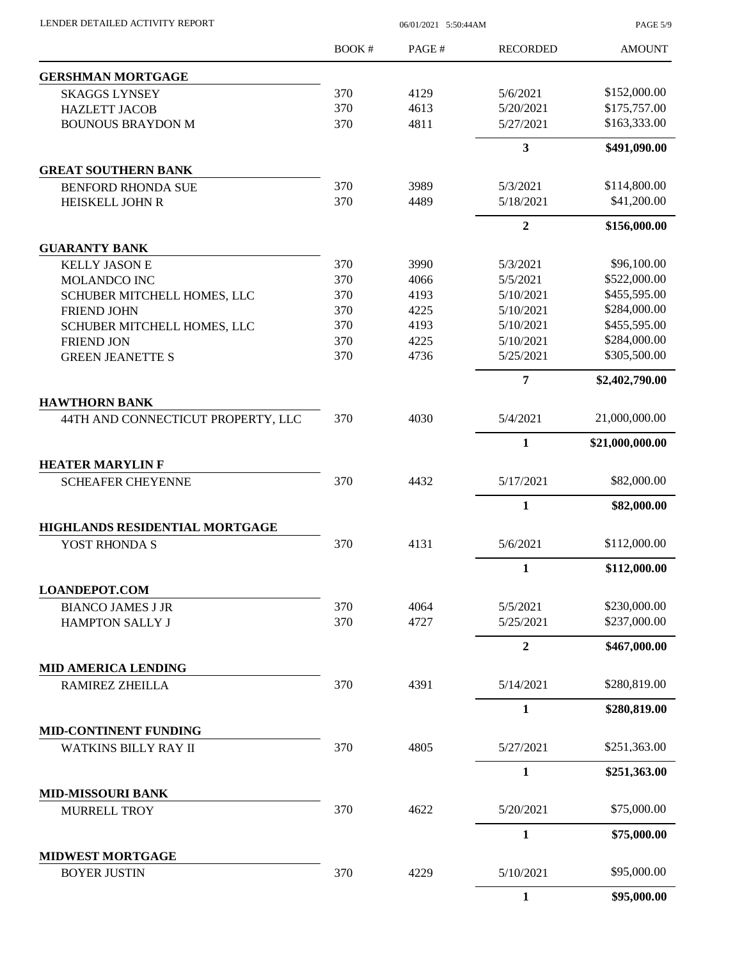|                                                 | <b>BOOK#</b> | PAGE#        | <b>RECORDED</b>        | <b>AMOUNT</b>                |
|-------------------------------------------------|--------------|--------------|------------------------|------------------------------|
| <b>GERSHMAN MORTGAGE</b>                        |              |              |                        |                              |
| <b>SKAGGS LYNSEY</b>                            | 370          | 4129         | 5/6/2021               | \$152,000.00                 |
| <b>HAZLETT JACOB</b>                            | 370          | 4613         | 5/20/2021              | \$175,757.00                 |
| <b>BOUNOUS BRAYDON M</b>                        | 370          | 4811         | 5/27/2021              | \$163,333.00                 |
|                                                 |              |              | 3                      | \$491,090.00                 |
| <b>GREAT SOUTHERN BANK</b>                      |              |              |                        |                              |
| BENFORD RHONDA SUE                              | 370          | 3989         | 5/3/2021               | \$114,800.00                 |
| HEISKELL JOHN R                                 | 370          | 4489         | 5/18/2021              | \$41,200.00                  |
|                                                 |              |              | $\overline{2}$         | \$156,000.00                 |
| <b>GUARANTY BANK</b>                            |              |              |                        |                              |
| <b>KELLY JASON E</b>                            | 370          | 3990         | 5/3/2021               | \$96,100.00                  |
| <b>MOLANDCO INC</b>                             | 370          | 4066         | 5/5/2021               | \$522,000.00                 |
| SCHUBER MITCHELL HOMES, LLC                     | 370          | 4193         | 5/10/2021              | \$455,595.00                 |
| <b>FRIEND JOHN</b>                              | 370          | 4225         | 5/10/2021              | \$284,000.00                 |
| SCHUBER MITCHELL HOMES, LLC                     | 370          | 4193<br>4225 | 5/10/2021<br>5/10/2021 | \$455,595.00<br>\$284,000.00 |
| <b>FRIEND JON</b><br><b>GREEN JEANETTE S</b>    | 370<br>370   | 4736         | 5/25/2021              | \$305,500.00                 |
|                                                 |              |              | 7                      | \$2,402,790.00               |
| <b>HAWTHORN BANK</b>                            |              |              |                        |                              |
| 44TH AND CONNECTICUT PROPERTY, LLC              | 370          | 4030         | 5/4/2021               | 21,000,000.00                |
|                                                 |              |              | 1                      | \$21,000,000.00              |
| <b>HEATER MARYLIN F</b>                         |              |              |                        |                              |
| <b>SCHEAFER CHEYENNE</b>                        | 370          | 4432         | 5/17/2021              | \$82,000.00                  |
|                                                 |              |              | $\mathbf{1}$           | \$82,000.00                  |
| HIGHLANDS RESIDENTIAL MORTGAGE                  |              |              |                        |                              |
| YOST RHONDA S                                   | 370          | 4131         | 5/6/2021               | \$112,000.00                 |
|                                                 |              |              | $\mathbf{1}$           | \$112,000.00                 |
| <b>LOANDEPOT.COM</b>                            |              |              |                        |                              |
| <b>BIANCO JAMES J JR</b>                        | 370          | 4064         | 5/5/2021               | \$230,000.00                 |
| <b>HAMPTON SALLY J</b>                          | 370          | 4727         | 5/25/2021              | \$237,000.00                 |
|                                                 |              |              | $\boldsymbol{2}$       | \$467,000.00                 |
| <b>MID AMERICA LENDING</b>                      |              |              | 5/14/2021              | \$280,819.00                 |
| RAMIREZ ZHEILLA                                 | 370          | 4391         |                        |                              |
|                                                 |              |              | $\mathbf{1}$           | \$280,819.00                 |
| MID-CONTINENT FUNDING                           |              |              |                        |                              |
| WATKINS BILLY RAY II                            | 370          | 4805         | 5/27/2021              | \$251,363.00                 |
|                                                 |              |              | $\mathbf{1}$           | \$251,363.00                 |
| <b>MID-MISSOURI BANK</b><br><b>MURRELL TROY</b> | 370          | 4622         | 5/20/2021              | \$75,000.00                  |
|                                                 |              |              |                        |                              |
|                                                 |              |              | 1                      | \$75,000.00                  |
| <b>MIDWEST MORTGAGE</b>                         |              |              |                        |                              |
| <b>BOYER JUSTIN</b>                             | 370          | 4229         | 5/10/2021              | \$95,000.00                  |

LENDER DETAILED ACTIVITY REPORT 06/01/2021 5:50:44AM

PAGE 5/9

**1 \$95,000.00**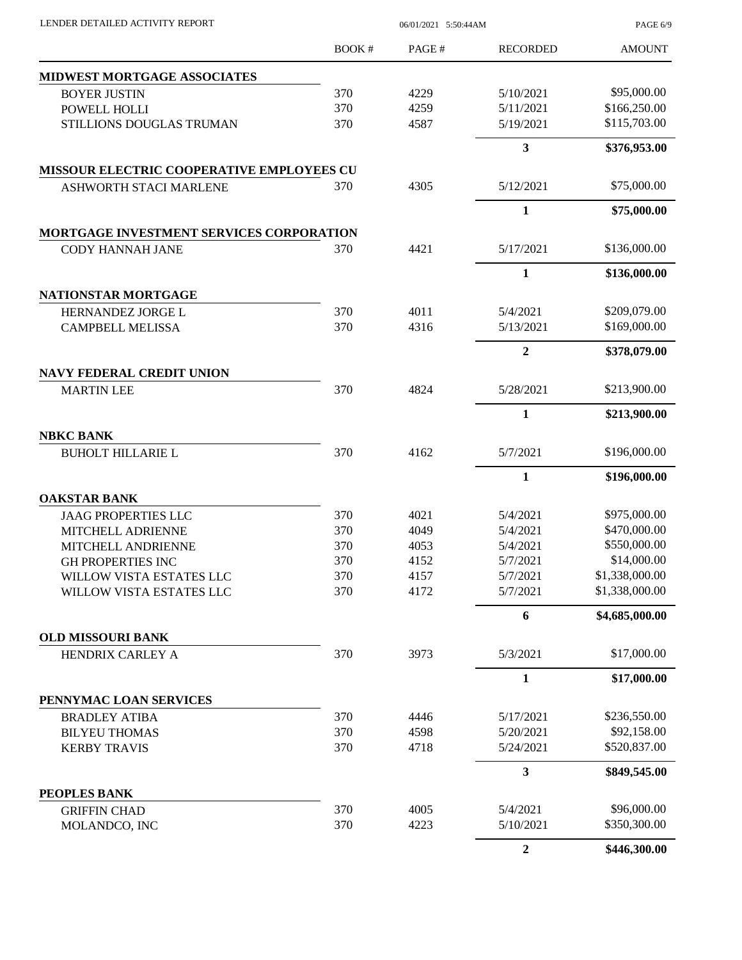| LENDER DETAILED ACTIVITY REPORT                       | 06/01/2021 5:50:44AM |       |                         | PAGE 6/9       |
|-------------------------------------------------------|----------------------|-------|-------------------------|----------------|
|                                                       | BOOK #               | PAGE# | <b>RECORDED</b>         | <b>AMOUNT</b>  |
| <b>MIDWEST MORTGAGE ASSOCIATES</b>                    |                      |       |                         |                |
| <b>BOYER JUSTIN</b>                                   | 370                  | 4229  | 5/10/2021               | \$95,000.00    |
| POWELL HOLLI                                          | 370                  | 4259  | 5/11/2021               | \$166,250.00   |
| STILLIONS DOUGLAS TRUMAN                              | 370                  | 4587  | 5/19/2021               | \$115,703.00   |
|                                                       |                      |       | $\overline{\mathbf{3}}$ | \$376,953.00   |
| MISSOUR ELECTRIC COOPERATIVE EMPLOYEES CU             |                      |       |                         |                |
| <b>ASHWORTH STACI MARLENE</b>                         | 370                  | 4305  | 5/12/2021               | \$75,000.00    |
|                                                       |                      |       | 1                       | \$75,000.00    |
| <b>MORTGAGE INVESTMENT SERVICES CORPORATION</b>       |                      |       |                         |                |
| <b>CODY HANNAH JANE</b>                               | 370                  | 4421  | 5/17/2021               | \$136,000.00   |
|                                                       |                      |       | $\mathbf{1}$            | \$136,000.00   |
| NATIONSTAR MORTGAGE                                   |                      |       |                         |                |
| HERNANDEZ JORGE L                                     | 370                  | 4011  | 5/4/2021                | \$209,079.00   |
| <b>CAMPBELL MELISSA</b>                               | 370                  | 4316  | 5/13/2021               | \$169,000.00   |
|                                                       |                      |       | $\overline{2}$          | \$378,079.00   |
| <b>NAVY FEDERAL CREDIT UNION</b><br><b>MARTIN LEE</b> | 370                  | 4824  | 5/28/2021               | \$213,900.00   |
|                                                       |                      |       | 1                       | \$213,900.00   |
| <b>NBKC BANK</b>                                      |                      |       |                         |                |
| <b>BUHOLT HILLARIE L</b>                              | 370                  | 4162  | 5/7/2021                | \$196,000.00   |
|                                                       |                      |       | $\mathbf{1}$            | \$196,000.00   |
| <b>OAKSTAR BANK</b>                                   |                      |       |                         |                |
| <b>JAAG PROPERTIES LLC</b>                            | 370                  | 4021  | 5/4/2021                | \$975,000.00   |
| MITCHELL ADRIENNE                                     | 370                  | 4049  | 5/4/2021                | \$470,000.00   |
| MITCHELL ANDRIENNE                                    | 370                  | 4053  | 5/4/2021                | \$550,000.00   |
| <b>GH PROPERTIES INC</b>                              | 370                  | 4152  | 5/7/2021                | \$14,000.00    |
| WILLOW VISTA ESTATES LLC                              | 370                  | 4157  | 5/7/2021                | \$1,338,000.00 |
| WILLOW VISTA ESTATES LLC                              | 370                  | 4172  | 5/7/2021                | \$1,338,000.00 |
|                                                       |                      |       | 6                       | \$4,685,000.00 |
| <b>OLD MISSOURI BANK</b><br>HENDRIX CARLEY A          | 370                  | 3973  | 5/3/2021                | \$17,000.00    |
|                                                       |                      |       | 1                       | \$17,000.00    |
| PENNYMAC LOAN SERVICES                                |                      |       |                         |                |
| <b>BRADLEY ATIBA</b>                                  | 370                  | 4446  | 5/17/2021               | \$236,550.00   |
| <b>BILYEU THOMAS</b>                                  | 370                  | 4598  | 5/20/2021               | \$92,158.00    |
| <b>KERBY TRAVIS</b>                                   | 370                  | 4718  | 5/24/2021               | \$520,837.00   |
|                                                       |                      |       | 3                       | \$849,545.00   |
| PEOPLES BANK                                          |                      |       |                         |                |
| <b>GRIFFIN CHAD</b>                                   | 370                  | 4005  | 5/4/2021                | \$96,000.00    |
| MOLANDCO, INC                                         | 370                  | 4223  | 5/10/2021               | \$350,300.00   |
|                                                       |                      |       | $\overline{2}$          | \$446,300.00   |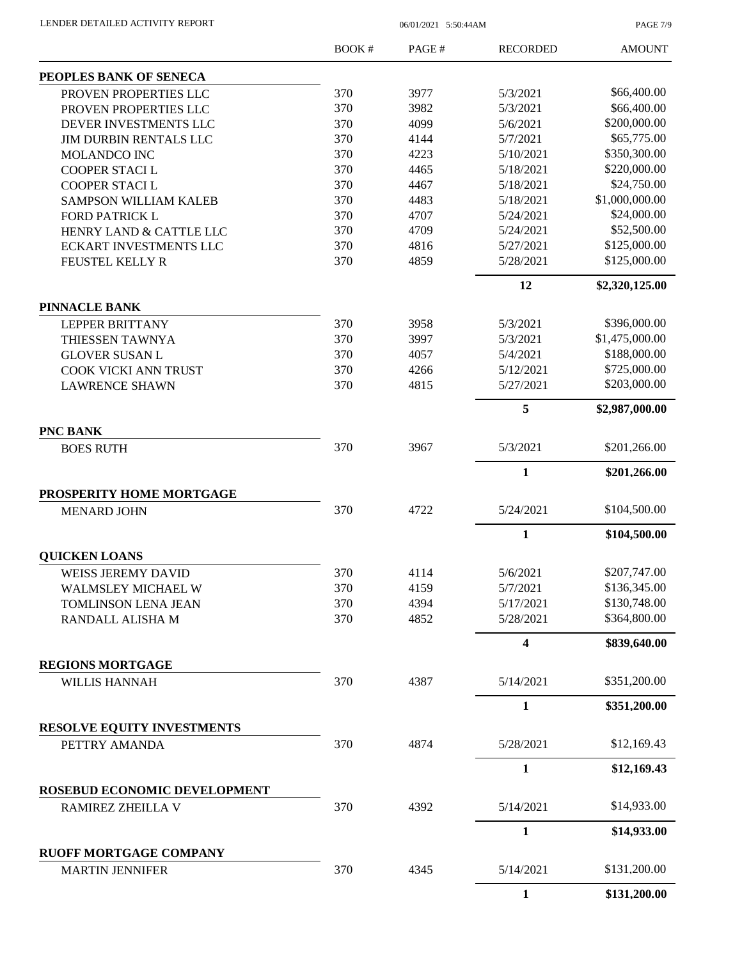| LENDER DETAILED ACTIVITY REPORT |  |
|---------------------------------|--|
|                                 |  |

06/01/2021 5:50:44AM

PAGE 7/9

|                                                 | <b>BOOK#</b> | PAGE# | <b>RECORDED</b> | <b>AMOUNT</b>  |
|-------------------------------------------------|--------------|-------|-----------------|----------------|
| PEOPLES BANK OF SENECA                          |              |       |                 |                |
| PROVEN PROPERTIES LLC                           | 370          | 3977  | 5/3/2021        | \$66,400.00    |
| PROVEN PROPERTIES LLC                           | 370          | 3982  | 5/3/2021        | \$66,400.00    |
| DEVER INVESTMENTS LLC                           | 370          | 4099  | 5/6/2021        | \$200,000.00   |
| JIM DURBIN RENTALS LLC                          | 370          | 4144  | 5/7/2021        | \$65,775.00    |
| <b>MOLANDCO INC</b>                             | 370          | 4223  | 5/10/2021       | \$350,300.00   |
| COOPER STACI L                                  | 370          | 4465  | 5/18/2021       | \$220,000.00   |
| COOPER STACI L                                  | 370          | 4467  | 5/18/2021       | \$24,750.00    |
| <b>SAMPSON WILLIAM KALEB</b>                    | 370          | 4483  | 5/18/2021       | \$1,000,000.00 |
| <b>FORD PATRICK L</b>                           | 370          | 4707  | 5/24/2021       | \$24,000.00    |
| HENRY LAND & CATTLE LLC                         | 370          | 4709  | 5/24/2021       | \$52,500.00    |
| <b>ECKART INVESTMENTS LLC</b>                   | 370          | 4816  | 5/27/2021       | \$125,000.00   |
| FEUSTEL KELLY R                                 | 370          | 4859  | 5/28/2021       | \$125,000.00   |
|                                                 |              |       | 12              | \$2,320,125.00 |
| <b>PINNACLE BANK</b>                            |              |       |                 |                |
| <b>LEPPER BRITTANY</b>                          | 370          | 3958  | 5/3/2021        | \$396,000.00   |
| THIESSEN TAWNYA                                 | 370          | 3997  | 5/3/2021        | \$1,475,000.00 |
| <b>GLOVER SUSAN L</b>                           | 370          | 4057  | 5/4/2021        | \$188,000.00   |
| COOK VICKI ANN TRUST                            | 370          | 4266  | 5/12/2021       | \$725,000.00   |
| <b>LAWRENCE SHAWN</b>                           | 370          | 4815  | 5/27/2021       | \$203,000.00   |
|                                                 |              |       | 5               | \$2,987,000.00 |
| PNC BANK<br><b>BOES RUTH</b>                    | 370          | 3967  | 5/3/2021        | \$201,266.00   |
|                                                 |              |       | $\mathbf{1}$    | \$201,266.00   |
| PROSPERITY HOME MORTGAGE                        |              |       |                 |                |
| <b>MENARD JOHN</b>                              | 370          | 4722  | 5/24/2021       | \$104,500.00   |
|                                                 |              |       |                 |                |
|                                                 |              |       | 1               | \$104,500.00   |
| <b>QUICKEN LOANS</b>                            |              |       |                 |                |
| <b>WEISS JEREMY DAVID</b>                       | 370          | 4114  | 5/6/2021        | \$207,747.00   |
| WALMSLEY MICHAEL W                              | 370          | 4159  | 5/7/2021        | \$136,345.00   |
| <b>TOMLINSON LENA JEAN</b>                      | 370          | 4394  | 5/17/2021       | \$130,748.00   |
| RANDALL ALISHA M                                | 370          | 4852  | 5/28/2021       | \$364,800.00   |
|                                                 |              |       | 4               | \$839,640.00   |
| <b>REGIONS MORTGAGE</b><br><b>WILLIS HANNAH</b> | 370          | 4387  | 5/14/2021       | \$351,200.00   |
|                                                 |              |       | 1               | \$351,200.00   |
| <b>RESOLVE EQUITY INVESTMENTS</b>               |              |       |                 |                |
| PETTRY AMANDA                                   | 370          | 4874  | 5/28/2021       | \$12,169.43    |
|                                                 |              |       | $\mathbf{1}$    | \$12,169.43    |
| ROSEBUD ECONOMIC DEVELOPMENT                    |              |       |                 |                |
| RAMIREZ ZHEILLA V                               | 370          | 4392  | 5/14/2021       | \$14,933.00    |
|                                                 |              |       | $\mathbf{1}$    | \$14,933.00    |
| <b>RUOFF MORTGAGE COMPANY</b>                   |              |       |                 |                |
| <b>MARTIN JENNIFER</b>                          | 370          | 4345  | 5/14/2021       | \$131,200.00   |
|                                                 |              |       | 1               | \$131,200.00   |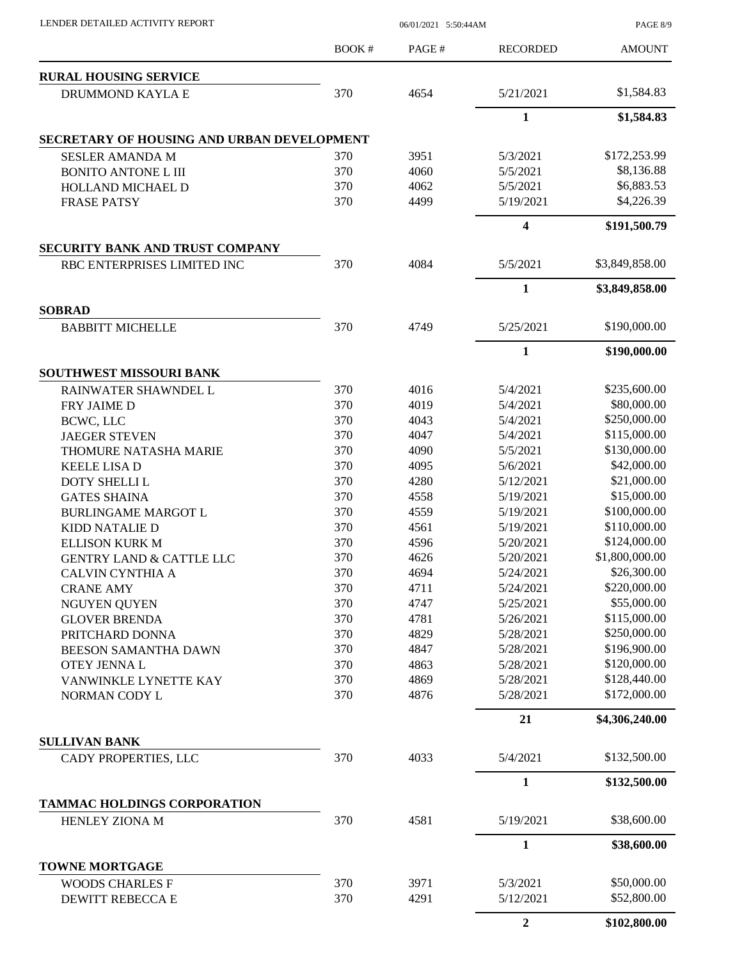| LENDER DETAILED ACTIVITY REPORT                      |        | 06/01/2021 5:50:44AM |                 | <b>PAGE 8/9</b> |
|------------------------------------------------------|--------|----------------------|-----------------|-----------------|
|                                                      | BOOK # | PAGE#                | <b>RECORDED</b> | <b>AMOUNT</b>   |
| <b>RURAL HOUSING SERVICE</b>                         |        |                      |                 |                 |
| DRUMMOND KAYLA E                                     | 370    | 4654                 | 5/21/2021       | \$1,584.83      |
|                                                      |        |                      | 1               | \$1,584.83      |
| SECRETARY OF HOUSING AND URBAN DEVELOPMENT           |        |                      |                 |                 |
| <b>SESLER AMANDA M</b>                               | 370    | 3951                 | 5/3/2021        | \$172,253.99    |
| <b>BONITO ANTONE L III</b>                           | 370    | 4060                 | 5/5/2021        | \$8,136.88      |
| HOLLAND MICHAEL D                                    | 370    | 4062                 | 5/5/2021        | \$6,883.53      |
| <b>FRASE PATSY</b>                                   | 370    | 4499                 | 5/19/2021       | \$4,226.39      |
|                                                      |        |                      | 4               | \$191,500.79    |
| SECURITY BANK AND TRUST COMPANY                      |        |                      |                 |                 |
| RBC ENTERPRISES LIMITED INC                          | 370    | 4084                 | 5/5/2021        | \$3,849,858.00  |
|                                                      |        |                      | 1               | \$3,849,858.00  |
| <b>SOBRAD</b><br><b>BABBITT MICHELLE</b>             | 370    | 4749                 | 5/25/2021       | \$190,000.00    |
|                                                      |        |                      | $\mathbf{1}$    | \$190,000.00    |
| SOUTHWEST MISSOURI BANK                              |        |                      |                 |                 |
| RAINWATER SHAWNDEL L                                 | 370    | 4016                 | 5/4/2021        | \$235,600.00    |
| FRY JAIME D                                          | 370    | 4019                 | 5/4/2021        | \$80,000.00     |
| BCWC, LLC                                            | 370    | 4043                 | 5/4/2021        | \$250,000.00    |
|                                                      | 370    | 4047                 | 5/4/2021        | \$115,000.00    |
| <b>JAEGER STEVEN</b>                                 | 370    | 4090                 | 5/5/2021        | \$130,000.00    |
| THOMURE NATASHA MARIE                                | 370    | 4095                 | 5/6/2021        | \$42,000.00     |
| <b>KEELE LISA D</b>                                  |        |                      |                 |                 |
| <b>DOTY SHELLI L</b>                                 | 370    | 4280                 | 5/12/2021       | \$21,000.00     |
| <b>GATES SHAINA</b>                                  | 370    | 4558                 | 5/19/2021       | \$15,000.00     |
| <b>BURLINGAME MARGOT L</b>                           | 370    | 4559                 | 5/19/2021       | \$100,000.00    |
| KIDD NATALIE D                                       | 370    | 4561                 | 5/19/2021       | \$110,000.00    |
| <b>ELLISON KURK M</b>                                | 370    | 4596                 | 5/20/2021       | \$124,000.00    |
| <b>GENTRY LAND &amp; CATTLE LLC</b>                  | 370    | 4626                 | 5/20/2021       | \$1,800,000.00  |
| <b>CALVIN CYNTHIA A</b>                              | 370    | 4694                 | 5/24/2021       | \$26,300.00     |
| <b>CRANE AMY</b>                                     | 370    | 4711                 | 5/24/2021       | \$220,000.00    |
| <b>NGUYEN QUYEN</b>                                  | 370    | 4747                 | 5/25/2021       | \$55,000.00     |
| <b>GLOVER BRENDA</b>                                 | 370    | 4781                 | 5/26/2021       | \$115,000.00    |
| PRITCHARD DONNA                                      | 370    | 4829                 | 5/28/2021       | \$250,000.00    |
| BEESON SAMANTHA DAWN                                 | 370    | 4847                 | 5/28/2021       | \$196,900.00    |
| OTEY JENNA L                                         | 370    | 4863                 | 5/28/2021       | \$120,000.00    |
| VANWINKLE LYNETTE KAY                                | 370    | 4869                 | 5/28/2021       | \$128,440.00    |
| NORMAN CODY L                                        | 370    | 4876                 | 5/28/2021       | \$172,000.00    |
|                                                      |        |                      | 21              | \$4,306,240.00  |
| <b>SULLIVAN BANK</b>                                 |        |                      |                 |                 |
| CADY PROPERTIES, LLC                                 | 370    | 4033                 | 5/4/2021        | \$132,500.00    |
|                                                      |        |                      | $\mathbf{1}$    | \$132,500.00    |
| <b>TAMMAC HOLDINGS CORPORATION</b><br>HENLEY ZIONA M | 370    | 4581                 | 5/19/2021       | \$38,600.00     |
|                                                      |        |                      | $\mathbf{1}$    | \$38,600.00     |
| <b>TOWNE MORTGAGE</b>                                |        |                      |                 |                 |
| <b>WOODS CHARLES F</b>                               | 370    | 3971                 | 5/3/2021        | \$50,000.00     |
| DEWITT REBECCA E                                     | 370    | 4291                 | 5/12/2021       | \$52,800.00     |
|                                                      |        |                      |                 |                 |
|                                                      |        |                      | $\overline{2}$  | \$102,800.00    |